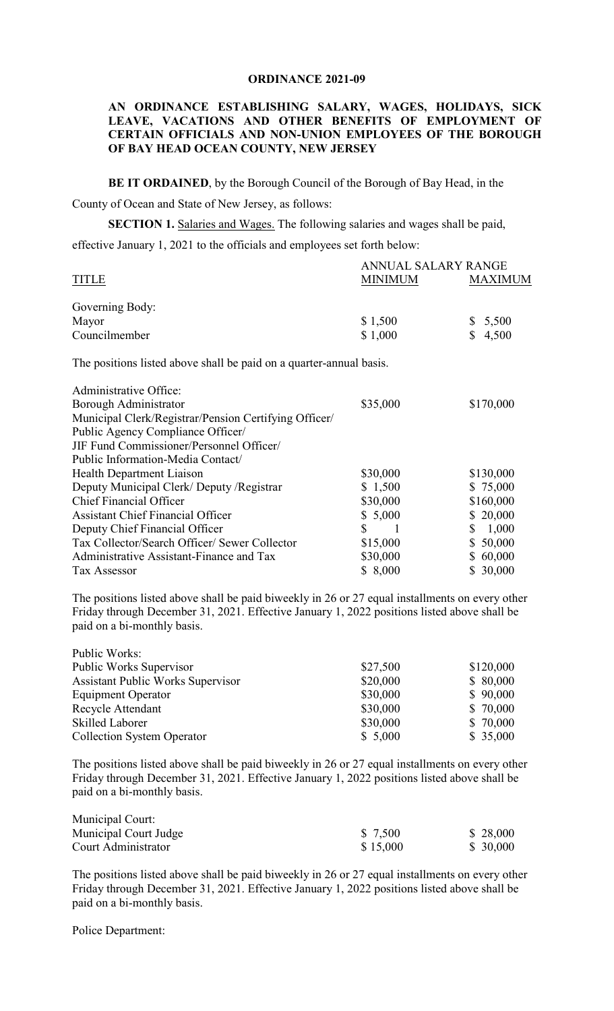#### **ORDINANCE 2021-09**

## **AN ORDINANCE ESTABLISHING SALARY, WAGES, HOLIDAYS, SICK LEAVE, VACATIONS AND OTHER BENEFITS OF EMPLOYMENT OF CERTAIN OFFICIALS AND NON-UNION EMPLOYEES OF THE BOROUGH OF BAY HEAD OCEAN COUNTY, NEW JERSEY**

**BE IT ORDAINED**, by the Borough Council of the Borough of Bay Head, in the

County of Ocean and State of New Jersey, as follows:

**SECTION 1.** Salaries and Wages. The following salaries and wages shall be paid, effective January 1, 2021 to the officials and employees set forth below:

|                                                                     | ANNUAL SALARY RANGE |                |
|---------------------------------------------------------------------|---------------------|----------------|
| <b>TITLE</b>                                                        | <b>MINIMUM</b>      | <b>MAXIMUM</b> |
| Governing Body:                                                     |                     |                |
| Mayor                                                               | \$1,500             | 5,500<br>\$    |
| Councilmember                                                       | \$1,000             | 4,500<br>\$.   |
| The positions listed above shall be paid on a quarter-annual basis. |                     |                |
| Administrative Office:                                              |                     |                |
| Borough Administrator                                               | \$35,000            | \$170,000      |
| Municipal Clerk/Registrar/Pension Certifying Officer/               |                     |                |
| Public Agency Compliance Officer/                                   |                     |                |
| JIF Fund Commissioner/Personnel Officer/                            |                     |                |
| Public Information-Media Contact/                                   |                     |                |
| Health Department Liaison                                           | \$30,000            | \$130,000      |
| Deputy Municipal Clerk/Deputy /Registrar                            | \$1,500             | \$75,000       |
| <b>Chief Financial Officer</b>                                      | \$30,000            | \$160,000      |
| <b>Assistant Chief Financial Officer</b>                            | \$5,000             | \$20,000       |
| Deputy Chief Financial Officer                                      | \$<br>-1            | 1,000<br>\$    |
| Tax Collector/Search Officer/ Sewer Collector                       | \$15,000            | \$50,000       |
| Administrative Assistant-Finance and Tax                            | \$30,000            | 60,000<br>S.   |
| <b>Tax Assessor</b>                                                 | \$ 8,000            | 30,000         |

The positions listed above shall be paid biweekly in 26 or 27 equal installments on every other Friday through December 31, 2021. Effective January 1, 2022 positions listed above shall be paid on a bi-monthly basis.

| Public Works:                            |          |           |
|------------------------------------------|----------|-----------|
| Public Works Supervisor                  | \$27,500 | \$120,000 |
| <b>Assistant Public Works Supervisor</b> | \$20,000 | \$80,000  |
| <b>Equipment Operator</b>                | \$30,000 | \$90,000  |
| Recycle Attendant                        | \$30,000 | \$ 70,000 |
| <b>Skilled Laborer</b>                   | \$30,000 | \$ 70,000 |
| <b>Collection System Operator</b>        | \$5,000  | \$35,000  |

The positions listed above shall be paid biweekly in 26 or 27 equal installments on every other Friday through December 31, 2021. Effective January 1, 2022 positions listed above shall be paid on a bi-monthly basis.

| Municipal Court:      |          |           |
|-----------------------|----------|-----------|
| Municipal Court Judge | \$ 7,500 | \$ 28,000 |
| Court Administrator   | \$15,000 | \$ 30,000 |

The positions listed above shall be paid biweekly in 26 or 27 equal installments on every other Friday through December 31, 2021. Effective January 1, 2022 positions listed above shall be paid on a bi-monthly basis.

Police Department: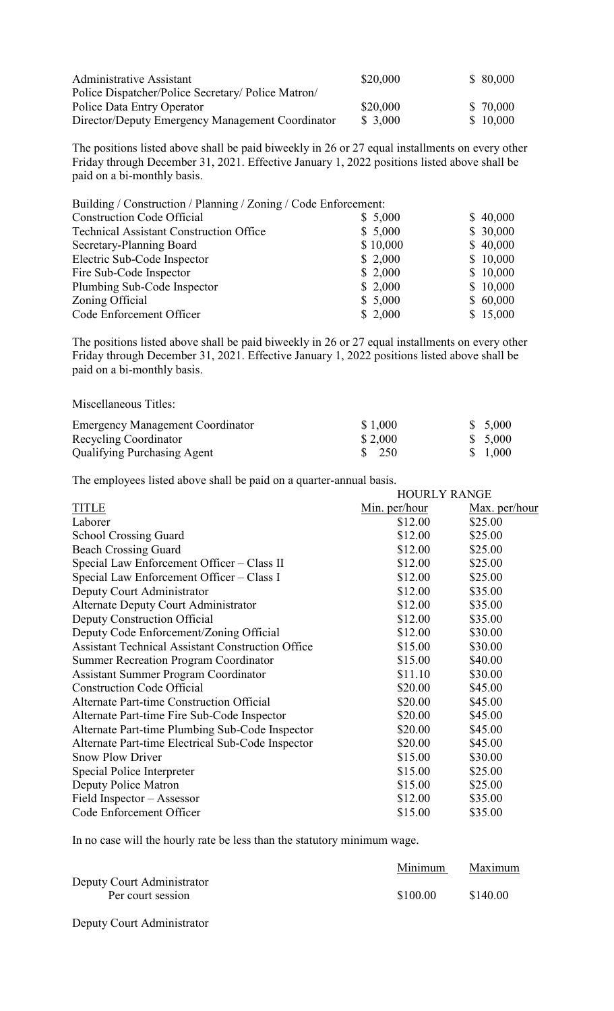| Administrative Assistant                           | \$20,000 | \$80,000  |
|----------------------------------------------------|----------|-----------|
| Police Dispatcher/Police Secretary/ Police Matron/ |          |           |
| Police Data Entry Operator                         | \$20,000 | \$ 70,000 |
| Director/Deputy Emergency Management Coordinator   | \$3,000  | \$10,000  |

The positions listed above shall be paid biweekly in 26 or 27 equal installments on every other Friday through December 31, 2021. Effective January 1, 2022 positions listed above shall be paid on a bi-monthly basis.

| Building / Construction / Planning / Zoning / Code Enforcement: |          |          |
|-----------------------------------------------------------------|----------|----------|
| <b>Construction Code Official</b>                               | \$5,000  | \$40,000 |
| <b>Technical Assistant Construction Office</b>                  | \$5,000  | \$30,000 |
| Secretary-Planning Board                                        | \$10,000 | \$40,000 |
| Electric Sub-Code Inspector                                     | \$2,000  | \$10,000 |
| Fire Sub-Code Inspector                                         | \$2,000  | \$10,000 |
| Plumbing Sub-Code Inspector                                     | \$2,000  | \$10,000 |
| Zoning Official                                                 | \$5,000  | \$60,000 |
| Code Enforcement Officer                                        | \$2,000  | \$15,000 |

The positions listed above shall be paid biweekly in 26 or 27 equal installments on every other Friday through December 31, 2021. Effective January 1, 2022 positions listed above shall be paid on a bi-monthly basis.

| <b>Emergency Management Coordinator</b> | \$1,000          | \$5,000 |
|-----------------------------------------|------------------|---------|
| Recycling Coordinator                   | \$2,000          | \$5,000 |
| <b>Qualifying Purchasing Agent</b>      | $\frac{\$}{250}$ | \$1,000 |

The employees listed above shall be paid on a quarter-annual basis.

| <b>HOURLY RANGE</b> |                      |
|---------------------|----------------------|
| Min. per/hour       | <u>Max. per/hour</u> |
| \$12.00             | \$25.00              |
| \$12.00             | \$25.00              |
| \$12.00             | \$25.00              |
| \$12.00             | \$25.00              |
| \$12.00             | \$25.00              |
| \$12.00             | \$35.00              |
| \$12.00             | \$35.00              |
| \$12.00             | \$35.00              |
| \$12.00             | \$30.00              |
| \$15.00             | \$30.00              |
| \$15.00             | \$40.00              |
| \$11.10             | \$30.00              |
| \$20.00             | \$45.00              |
| \$20.00             | \$45.00              |
| \$20.00             | \$45.00              |
| \$20.00             | \$45.00              |
| \$20.00             | \$45.00              |
| \$15.00             | \$30.00              |
| \$15.00             | \$25.00              |
| \$15.00             | \$25.00              |
| \$12.00             | \$35.00              |
| \$15.00             | \$35.00              |
|                     |                      |

In no case will the hourly rate be less than the statutory minimum wage.

|                            | Minimum  | Maximum  |
|----------------------------|----------|----------|
| Deputy Court Administrator |          |          |
| Per court session          | \$100.00 | \$140.00 |
|                            |          |          |

Deputy Court Administrator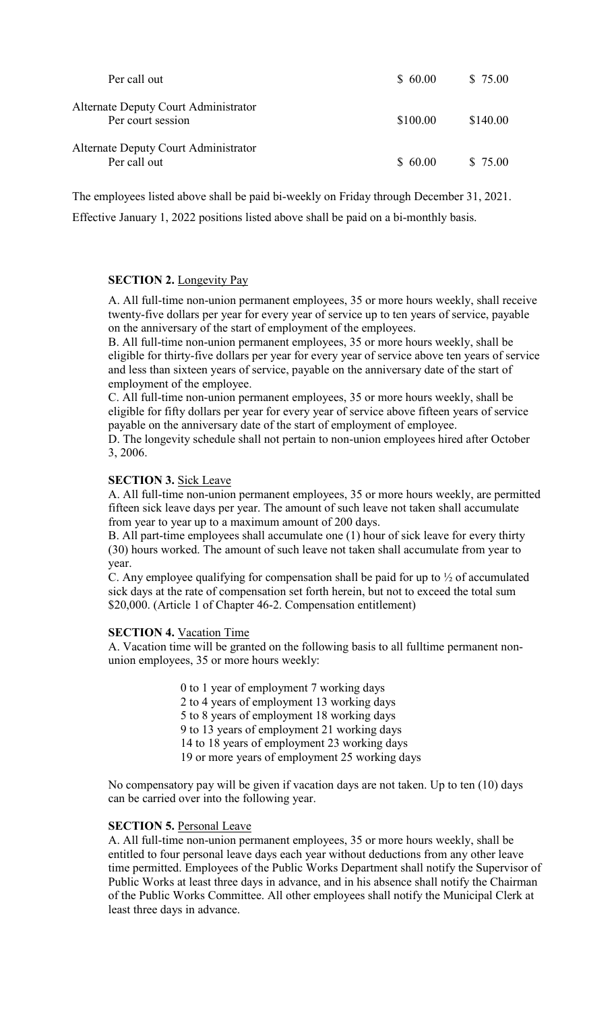| Per call out                                              | \$60.00  | \$75.00  |
|-----------------------------------------------------------|----------|----------|
| Alternate Deputy Court Administrator<br>Per court session | \$100.00 | \$140.00 |
| Alternate Deputy Court Administrator<br>Per call out      | \$60.00  | \$ 75.00 |

The employees listed above shall be paid bi-weekly on Friday through December 31, 2021.

Effective January 1, 2022 positions listed above shall be paid on a bi-monthly basis.

## **SECTION 2.** Longevity Pay

A. All full-time non-union permanent employees, 35 or more hours weekly, shall receive twenty-five dollars per year for every year of service up to ten years of service, payable on the anniversary of the start of employment of the employees.

B. All full-time non-union permanent employees, 35 or more hours weekly, shall be eligible for thirty-five dollars per year for every year of service above ten years of service and less than sixteen years of service, payable on the anniversary date of the start of employment of the employee.

C. All full-time non-union permanent employees, 35 or more hours weekly, shall be eligible for fifty dollars per year for every year of service above fifteen years of service payable on the anniversary date of the start of employment of employee.

D. The longevity schedule shall not pertain to non-union employees hired after October 3, 2006.

## **SECTION 3.** Sick Leave

A. All full-time non-union permanent employees, 35 or more hours weekly, are permitted fifteen sick leave days per year. The amount of such leave not taken shall accumulate from year to year up to a maximum amount of 200 days.

B. All part-time employees shall accumulate one (1) hour of sick leave for every thirty (30) hours worked. The amount of such leave not taken shall accumulate from year to year.

C. Any employee qualifying for compensation shall be paid for up to ½ of accumulated sick days at the rate of compensation set forth herein, but not to exceed the total sum \$20,000. (Article 1 of Chapter 46-2. Compensation entitlement)

## **SECTION 4.** Vacation Time

A. Vacation time will be granted on the following basis to all fulltime permanent nonunion employees, 35 or more hours weekly:

> 0 to 1 year of employment 7 working days 2 to 4 years of employment 13 working days 5 to 8 years of employment 18 working days 9 to 13 years of employment 21 working days 14 to 18 years of employment 23 working days 19 or more years of employment 25 working days

No compensatory pay will be given if vacation days are not taken. Up to ten (10) days can be carried over into the following year.

## **SECTION 5.** Personal Leave

A. All full-time non-union permanent employees, 35 or more hours weekly, shall be entitled to four personal leave days each year without deductions from any other leave time permitted. Employees of the Public Works Department shall notify the Supervisor of Public Works at least three days in advance, and in his absence shall notify the Chairman of the Public Works Committee. All other employees shall notify the Municipal Clerk at least three days in advance.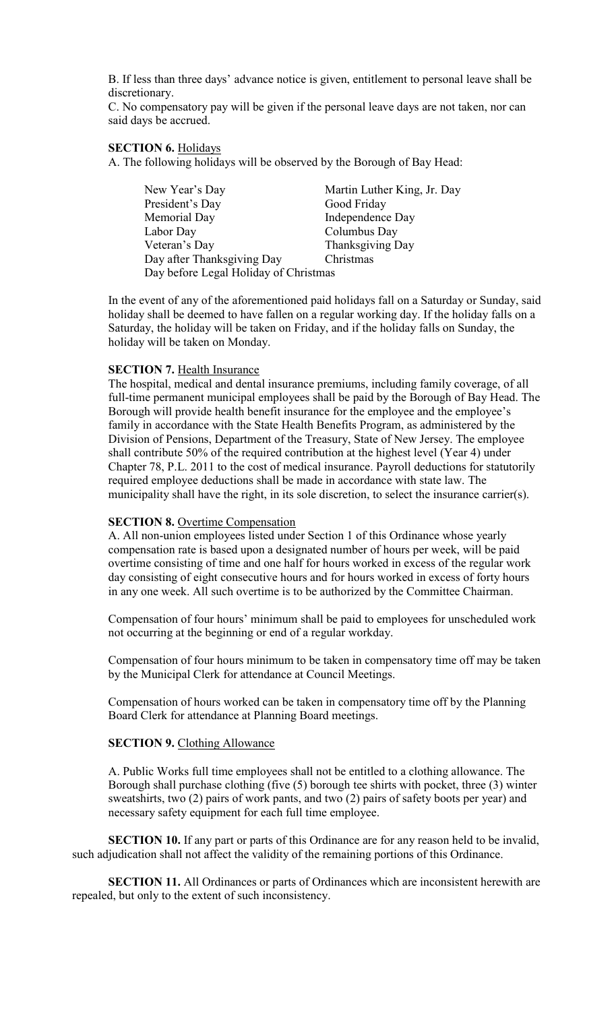B. If less than three days' advance notice is given, entitlement to personal leave shall be discretionary.

C. No compensatory pay will be given if the personal leave days are not taken, nor can said days be accrued.

#### **SECTION 6.** Holidays

A. The following holidays will be observed by the Borough of Bay Head:

| New Year's Day                        | Martin Luther King, Jr. Day |
|---------------------------------------|-----------------------------|
| President's Day                       | Good Friday                 |
| Memorial Day                          | Independence Day            |
| Labor Day                             | Columbus Day                |
| Veteran's Day                         | Thanksgiving Day            |
| Day after Thanksgiving Day            | Christmas                   |
| Day before Legal Holiday of Christmas |                             |

In the event of any of the aforementioned paid holidays fall on a Saturday or Sunday, said holiday shall be deemed to have fallen on a regular working day. If the holiday falls on a Saturday, the holiday will be taken on Friday, and if the holiday falls on Sunday, the holiday will be taken on Monday.

#### **SECTION 7. Health Insurance**

The hospital, medical and dental insurance premiums, including family coverage, of all full-time permanent municipal employees shall be paid by the Borough of Bay Head. The Borough will provide health benefit insurance for the employee and the employee's family in accordance with the State Health Benefits Program, as administered by the Division of Pensions, Department of the Treasury, State of New Jersey. The employee shall contribute 50% of the required contribution at the highest level (Year 4) under Chapter 78, P.L. 2011 to the cost of medical insurance. Payroll deductions for statutorily required employee deductions shall be made in accordance with state law. The municipality shall have the right, in its sole discretion, to select the insurance carrier(s).

#### **SECTION 8.** Overtime Compensation

A. All non-union employees listed under Section 1 of this Ordinance whose yearly compensation rate is based upon a designated number of hours per week, will be paid overtime consisting of time and one half for hours worked in excess of the regular work day consisting of eight consecutive hours and for hours worked in excess of forty hours in any one week. All such overtime is to be authorized by the Committee Chairman.

Compensation of four hours' minimum shall be paid to employees for unscheduled work not occurring at the beginning or end of a regular workday.

Compensation of four hours minimum to be taken in compensatory time off may be taken by the Municipal Clerk for attendance at Council Meetings.

Compensation of hours worked can be taken in compensatory time off by the Planning Board Clerk for attendance at Planning Board meetings.

#### **SECTION 9. Clothing Allowance**

A. Public Works full time employees shall not be entitled to a clothing allowance. The Borough shall purchase clothing (five (5) borough tee shirts with pocket, three (3) winter sweatshirts, two (2) pairs of work pants, and two (2) pairs of safety boots per year) and necessary safety equipment for each full time employee.

**SECTION 10.** If any part or parts of this Ordinance are for any reason held to be invalid, such adjudication shall not affect the validity of the remaining portions of this Ordinance.

**SECTION 11.** All Ordinances or parts of Ordinances which are inconsistent herewith are repealed, but only to the extent of such inconsistency.